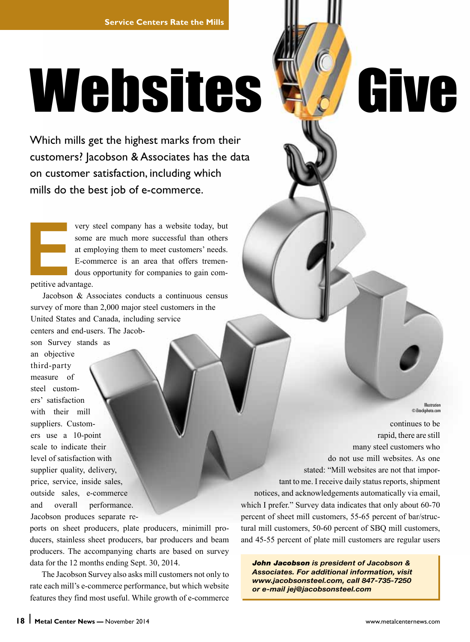# Websites Wallive

Which mills get the highest marks from their customers? Jacobson & Associates has the data on customer satisfaction, including which mills do the best job of e-commerce.

very steel company has a website today, but<br>some are much more successful than others<br>at employing them to meet customers' needs.<br>E-commerce is an area that offers tremen-<br>dous opportunity for companies to gain com-<br>petiti some are much more successful than others at employing them to meet customers' needs. E-commerce is an area that offers tremendous opportunity for companies to gain competitive advantage.

Jacobson & Associates conducts a continuous census survey of more than 2,000 major steel customers in the United States and Canada, including service centers and end-users. The Jacob-

son Survey stands as an objective third-party measure of steel customers' satisfaction with their mill suppliers. Customers use a 10-point scale to indicate their level of satisfaction with supplier quality, delivery, price, service, inside sales, outside sales, e-commerce and overall performance. Jacobson produces separate re-

ports on sheet producers, plate producers, minimill producers, stainless sheet producers, bar producers and beam producers. The accompanying charts are based on survey data for the 12 months ending Sept. 30, 2014.

The Jacobson Survey also asks mill customers not only to rate each mill's e-commerce performance, but which website features they find most useful. While growth of e-commerce

continues to be rapid, there are still many steel customers who do not use mill websites. As one stated: "Mill websites are not that important to me. I receive daily status reports, shipment notices, and acknowledgements automatically via email, which I prefer." Survey data indicates that only about 60-70 percent of sheet mill customers, 55-65 percent of bar/structural mill customers, 50-60 percent of SBQ mill customers, and 45-55 percent of plate mill customers are regular users

*John Jacobson is president of Jacobson & Associates. For additional information, visit www.jacobsonsteel.com, call 847-735-7250 or e-mail jej@jacobsonsteel.com*

Illustration ©iStockphoto.com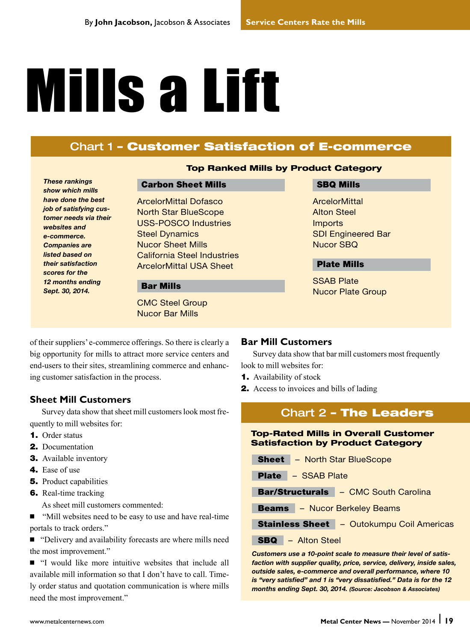# **Mills a Lift**

# Chart 1 – Customer Satisfaction of E-commerce

*These rankings show which mills have done the best job of satisfying customer needs via their websites and e-commerce. Companies are listed based on their satisfaction scores for the 12 months ending Sept. 30, 2014.*

## Top Ranked Mills by Product Category

#### Carbon Sheet Mills

ArcelorMittal Dofasco North Star BlueScope USS-POSCO Industries Steel Dynamics Nucor Sheet Mills California Steel Industries ArcelorMittal USA Sheet

#### Bar Mills

CMC Steel Group Nucor Bar Mills

#### SBQ Mills

**ArcelorMittal** Alton Steel **Imports** SDI Engineered Bar Nucor SBQ

### Plate Mills

SSAB Plate Nucor Plate Group

of their suppliers' e-commerce offerings. So there is clearly a big opportunity for mills to attract more service centers and end-users to their sites, streamlining commerce and enhancing customer satisfaction in the process.

## **Sheet Mill Customers**

Survey data show that sheet mill customers look most frequently to mill websites for:

- **1.** Order status
- **2.** Documentation
- **3.** Available inventory
- 4. Ease of use
- **5.** Product capabilities
- **6.** Real-time tracking

As sheet mill customers commented:

■ "Mill websites need to be easy to use and have real-time portals to track orders."

N "Delivery and availability forecasts are where mills need the most improvement."

 $\blacksquare$  "I would like more intuitive websites that include all available mill information so that I don't have to call. Timely order status and quotation communication is where mills need the most improvement."

#### **Bar Mill Customers**

Survey data show that bar mill customers most frequently look to mill websites for:

- **1.** Availability of stock
- **2.** Access to invoices and bills of lading

# Chart 2 – The Leaders

#### Top-Rated Mills in Overall Customer Satisfaction by Product Category

- Sheet North Star BlueScope
- Plate SSAB Plate

Bar/Structurals – CMC South Carolina

Beams – Nucor Berkeley Beams

| <b>Stainless Sheet</b> |  | <b>Outokumpu Coil Americas</b> |  |  |
|------------------------|--|--------------------------------|--|--|
|------------------------|--|--------------------------------|--|--|

SBQ – Alton Steel

*Customers use a 10-point scale to measure their level of satisfaction with supplier quality, price, service, delivery, inside sales, outside sales, e-commerce and overall performance, where 10 is "very satisfied" and 1 is "very dissatisfied." Data is for the 12 months ending Sept. 30, 2014. (Source: Jacobson & Associates)*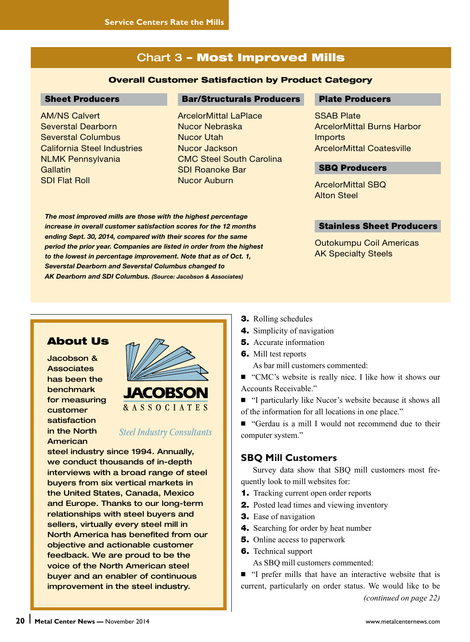# Chart 3 – Most Improved Mills

#### Overall Customer Satisfaction by Product Category

#### Sheet Producers

AM/NS Calvert Severstal Dearborn Severstal Columbus California Steel Industries NLMK Pennsylvania **Gallatin** SDI Flat Roll

#### Bar/Structurals Producers

ArcelorMittal LaPlace Nucor Nebraska Nucor Utah Nucor Jackson CMC Steel South Carolina SDI Roanoke Bar Nucor Auburn

*The most improved mills are those with the highest percentage increase in overall customer satisfaction scores for the 12 months ending Sept. 30, 2014, compared with their scores for the same period the prior year. Companies are listed in order from the highest to the lowest in percentage improvement. Note that as of Oct. 1, Severstal Dearborn and Severstal Columbus changed to AK Dearborn and SDI Columbus. (Source: Jacobson & Associates)*

#### Plate Producers

**SSAB Plate** ArcelorMittal Burns Harbor **Imports** ArcelorMittal Coatesville

#### SBQ Producers

ArcelorMittal SBQ Alton Steel

#### Stainless Sheet Producers

Outokumpu Coil Americas AK Specialty Steels

## About Us

Jacobson & **Associates** has been the benchmark for measuring customer satisfaction in the North American



## **Steel Industry Consultants**

steel industry since 1994. Annually, we conduct thousands of in-depth interviews with a broad range of steel buyers from six vertical markets in the United States, Canada, Mexico and Europe. Thanks to our long-term relationships with steel buyers and sellers, virtually every steel mill in North America has benefited from our objective and actionable customer feedback. We are proud to be the voice of the North American steel buyer and an enabler of continuous improvement in the steel industry.



- 4. Simplicity of navigation
- **5.** Accurate information
- 6. Mill test reports

As bar mill customers commented:

■ "CMC's website is really nice. I like how it shows our Accounts Receivable."

■ "I particularly like Nucor's website because it shows all of the information for all locations in one place."

N "Gerdau is a mill I would not recommend due to their computer system."

## **SBQ Mill Customers**

Survey data show that SBQ mill customers most frequently look to mill websites for:

- **1.** Tracking current open order reports
- **2.** Posted lead times and viewing inventory
- **3.** Ease of navigation
- 4. Searching for order by heat number
- **5.** Online access to paperwork
- **6.** Technical support As SBQ mill customers commented:
- N "I prefer mills that have an interactive website that is current, particularly on order status. We would like to be *(continued on page 22)*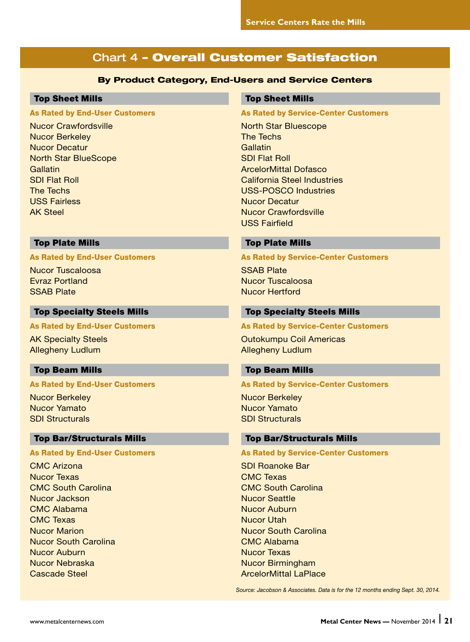# Chart 4 – Overall Customer Satisfaction

#### By Product Category, End-Users and Service Centers

#### Top Sheet Mills

#### As Rated by End-User Customers

Nucor Crawfordsville Nucor Berkeley Nucor Decatur North Star BlueScope **Gallatin** SDI Flat Roll The Techs USS Fairless AK Steel

#### Top Sheet Mills

#### As Rated by Service-Center Customers

North Star Bluescope The Techs **Gallatin** SDI Flat Roll ArcelorMittal Dofasco California Steel Industries USS-POSCO Industries Nucor Decatur Nucor Crawfordsville USS Fairfield

#### Top Plate Mills

#### As Rated by End-User Customers

Nucor Tuscaloosa Evraz Portland SSAB Plate

#### Top Specialty Steels Mills

#### As Rated by End-User Customers

AK Specialty Steels Allegheny Ludlum

#### Top Beam Mills

#### As Rated by End-User Customers

Nucor Berkeley Nucor Yamato SDI Structurals

#### Top Bar/Structurals Mills

#### As Rated by End-User Customers

CMC Arizona Nucor Texas CMC South Carolina Nucor Jackson CMC Alabama CMC Texas Nucor Marion Nucor South Carolina Nucor Auburn Nucor Nebraska Cascade Steel

#### Top Plate Mills

#### As Rated by Service-Center Customers

SSAB Plate Nucor Tuscaloosa Nucor Hertford

#### Top Specialty Steels Mills

#### As Rated by Service-Center Customers

Outokumpu Coil Americas Allegheny Ludlum

#### Top Beam Mills

#### As Rated by Service-Center Customers

Nucor Berkeley Nucor Yamato SDI Structurals

#### Top Bar/Structurals Mills

#### As Rated by Service-Center Customers

SDI Roanoke Bar CMC Texas CMC South Carolina Nucor Seattle Nucor Auburn Nucor Utah Nucor South Carolina CMC Alabama Nucor Texas Nucor Birmingham ArcelorMittal LaPlace

*Source: Jacobson & Associates. Data is for the 12 months ending Sept. 30, 2014.*